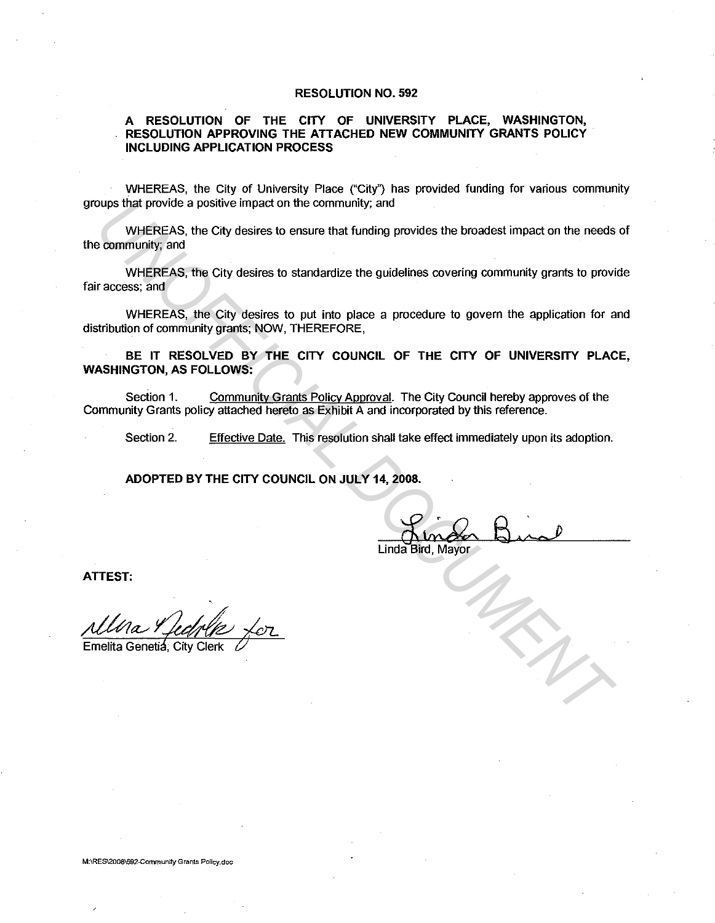## **RESOLUTION NO. 592**

## **A RESOLUTION OF THE CITY OF UNIVERSITY PLACE, WASHINGTON, RESOLUTION APPROVING THE ATTACHED NEW COMMUNITY GRANTS POLICY INCLUDING APPLICATION PROCESS**

WHEREAS, the City of University Place ("City") has provided funding for various community groups that provide a positive impact on the community; and

WHEREAS, the City desires to ensure that funding provides the broadest impact on the needs of the community; and

WHEREAS, the City desires to standardize the guidelines covering community grants to provide fair access; and **EXECUTE AND ACCURATE CONSIDERATION**<br>
WHEREAS, the City desires to ensure that funding provides the broadest impact on the needs<br>
examinativg, and<br>
WHEREAS, the City desires to standardize the guidelines covering community

WHEREAS, the City desires to put into place a procedure to govern the application for and distribution of community grants; NOW, THEREFORE,

**BE IT RESOLVED BY THE CITY COUNCIL OF THE CITY OF UNIVERSITY PLACE, WASHINGTON, AS FOLLOWS:** 

Section 1. Community Grants Policy Approval. The City Council hereby approves of the Community Grants policy attached hereto as Exhibit A and incorporated by this reference.

Section 2. Effective Date. This resolution shall take effect immediately upon its adoption.

**ADOPTED BY THE CITY COUNCIL ON JULY 14, 2008.** 

Linda Bird, Mayor

**ATTEST:** 

Emelita Genetia, City Clerk